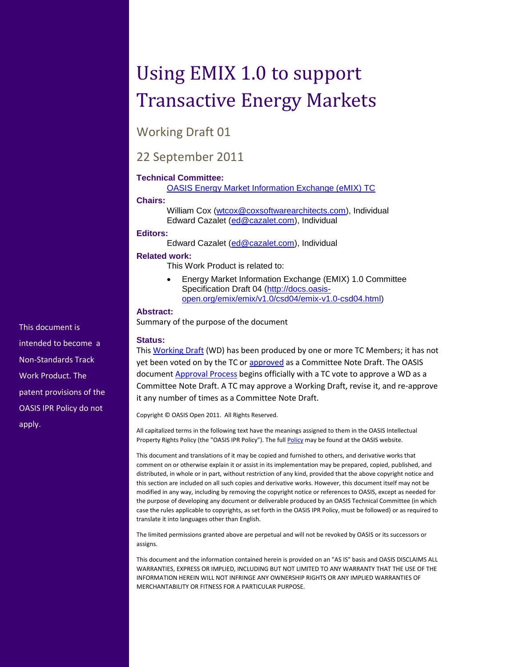# Using EMIX 1.0 to support Transactive Energy Markets

Working Draft 01

### 22 September 2011

#### **Technical Committee:**

[OASIS Energy Market Information Exchange \(eMIX\) TC](http://www.oasis-open.org/committees/emix/)

#### **Chairs:**

William Cox [\(wtcox@coxsoftwarearchitects.com\)](mailto:wtcox@coxsoftwarearchitects.com), Individual Edward Cazalet [\(ed@cazalet.com\)](mailto:ed@cazalet.com), Individual

#### **Editors:**

Edward Cazalet [\(ed@cazalet.com\)](mailto:ed@cazalet.com), Individual

#### **Related work:**

This Work Product is related to:

 Energy Market Information Exchange (EMIX) 1.0 Committee Specification Draft 04 [\(http://docs.oasis](http://docs.oasis-open.org/emix/emix/v1.0/csd04/emix-v1.0-csd04.html)[open.org/emix/emix/v1.0/csd04/emix-v1.0-csd04.html\)](http://docs.oasis-open.org/emix/emix/v1.0/csd04/emix-v1.0-csd04.html)

#### **Abstract:**

Summary of the purpose of the document

#### **Status:**

This [Working Draft](http://www.oasis-open.org/committees/process.php#dWorkingDraft) (WD) has been produced by one or more TC Members; it has not yet been voted on by the TC or [approved](http://www.oasis-open.org/committees/process.php#committeeDraft) as a Committee Note Draft. The OASIS document **Approval Process** begins officially with a TC vote to approve a WD as a Committee Note Draft. A TC may approve a Working Draft, revise it, and re-approve it any number of times as a Committee Note Draft.

Copyright © OASIS Open 2011. All Rights Reserved.

All capitalized terms in the following text have the meanings assigned to them in the OASIS Intellectual Property Rights Policy (the "OASIS IPR Policy"). The full **Policy** may be found at the OASIS website.

This document and translations of it may be copied and furnished to others, and derivative works that comment on or otherwise explain it or assist in its implementation may be prepared, copied, published, and distributed, in whole or in part, without restriction of any kind, provided that the above copyright notice and this section are included on all such copies and derivative works. However, this document itself may not be modified in any way, including by removing the copyright notice or references to OASIS, except as needed for the purpose of developing any document or deliverable produced by an OASIS Technical Committee (in which case the rules applicable to copyrights, as set forth in the OASIS IPR Policy, must be followed) or as required to translate it into languages other than English.

The limited permissions granted above are perpetual and will not be revoked by OASIS or its successors or assigns.

This document and the information contained herein is provided on an "AS IS" basis and OASIS DISCLAIMS ALL WARRANTIES, EXPRESS OR IMPLIED, INCLUDING BUT NOT LIMITED TO ANY WARRANTY THAT THE USE OF THE INFORMATION HEREIN WILL NOT INFRINGE ANY OWNERSHIP RIGHTS OR ANY IMPLIED WARRANTIES OF MERCHANTABILITY OR FITNESS FOR A PARTICULAR PURPOSE.

This document is intended to become a Non-Standards Track Work Product. The patent provisions of the OASIS IPR Policy do not apply.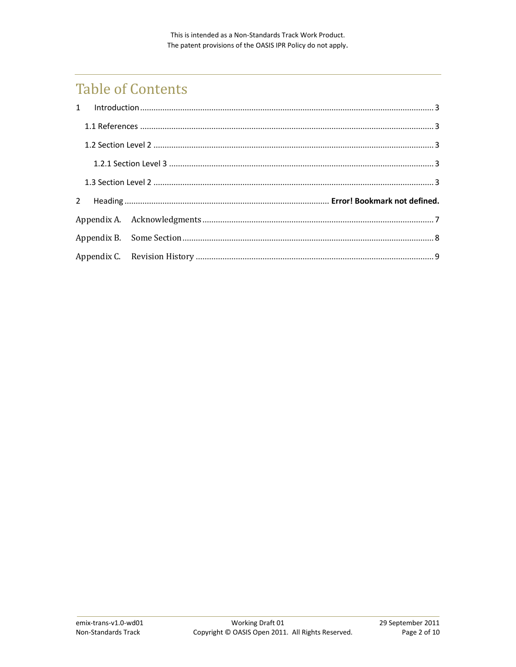## **Table of Contents**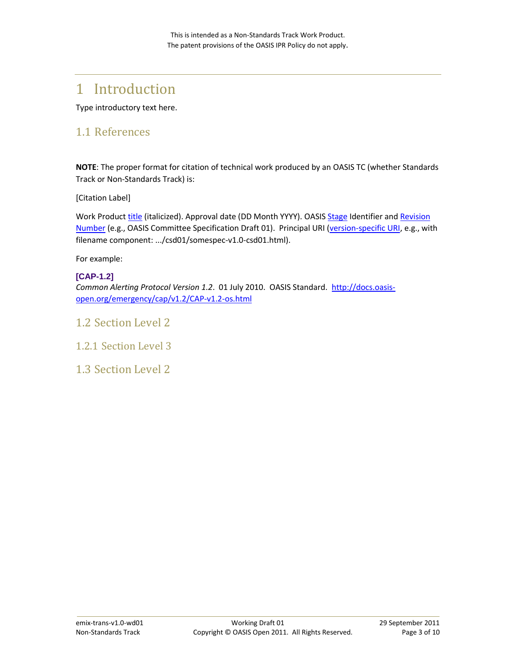## <span id="page-3-0"></span>1 Introduction

Type introductory text here.

### <span id="page-3-1"></span>1.1 References

**NOTE**: The proper format for citation of technical work produced by an OASIS TC (whether Standards Track or Non-Standards Track) is:

[Citation Label]

Work Produc[t title](http://docs.oasis-open.org/specGuidelines/ndr/namingDirectives.html#workProductName) (italicized). Approval date (DD Month YYYY). OASIS [Stage](http://docs.oasis-open.org/specGuidelines/ndr/namingDirectives.html#stage) Identifier and Revision [Number](http://docs.oasis-open.org/specGuidelines/ndr/namingDirectives.html#revision) (e.g., OASIS Committee Specification Draft 01). Principal URI [\(version-specific URI,](http://docs.oasis-open.org/specGuidelines/ndr/namingDirectives.html#this-version) e.g., with filename component: .../csd01/somespec-v1.0-csd01.html).

For example:

#### **[CAP-1.2]**

*Common Alerting Protocol Version 1.2*. 01 July 2010. OASIS Standard. [http://docs.oasis](http://docs.oasis-open.org/emergency/cap/v1.2/CAP-v1.2-os.html)[open.org/emergency/cap/v1.2/CAP-v1.2-os.html](http://docs.oasis-open.org/emergency/cap/v1.2/CAP-v1.2-os.html)

#### <span id="page-3-2"></span>1.2 Section Level 2

<span id="page-3-3"></span>1.2.1 Section Level 3

<span id="page-3-4"></span>1.3 Section Level 2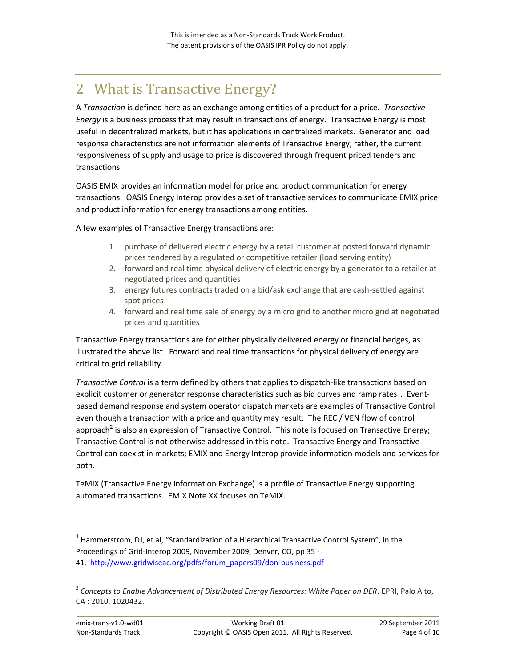## 2 What is Transactive Energy?

A *Transaction* is defined here as an exchange among entities of a product for a price. *Transactive Energy* is a business process that may result in transactions of energy. Transactive Energy is most useful in decentralized markets, but it has applications in centralized markets. Generator and load response characteristics are not information elements of Transactive Energy; rather, the current responsiveness of supply and usage to price is discovered through frequent priced tenders and transactions.

OASIS EMIX provides an information model for price and product communication for energy transactions. OASIS Energy Interop provides a set of transactive services to communicate EMIX price and product information for energy transactions among entities.

A few examples of Transactive Energy transactions are:

- 1. purchase of delivered electric energy by a retail customer at posted forward dynamic prices tendered by a regulated or competitive retailer (load serving entity)
- 2. forward and real time physical delivery of electric energy by a generator to a retailer at negotiated prices and quantities
- 3. energy futures contracts traded on a bid/ask exchange that are cash-settled against spot prices
- 4. forward and real time sale of energy by a micro grid to another micro grid at negotiated prices and quantities

Transactive Energy transactions are for either physically delivered energy or financial hedges, as illustrated the above list. Forward and real time transactions for physical delivery of energy are critical to grid reliability.

*Transactive Control* is a term defined by others that applies to dispatch-like transactions based on explicit customer or generator response characteristics such as bid curves and ramp rates<sup>1</sup>. Eventbased demand response and system operator dispatch markets are examples of Transactive Control even though a transaction with a price and quantity may result. The REC / VEN flow of control approach<sup>2</sup> is also an expression of Transactive Control. This note is focused on Transactive Energy; Transactive Control is not otherwise addressed in this note. Transactive Energy and Transactive Control can coexist in markets; EMIX and Energy Interop provide information models and services for both.

TeMIX (Transactive Energy Information Exchange) is a profile of Transactive Energy supporting automated transactions. EMIX Note XX focuses on TeMIX.

 1 Hammerstrom, DJ, et al, "Standardization of a Hierarchical Transactive Control System", in the Proceedings of Grid-Interop 2009, November 2009, Denver, CO, pp 35 -

<sup>41.</sup> [http://www.gridwiseac.org/pdfs/forum\\_papers09/don-business.pdf](http://www.gridwiseac.org/pdfs/forum_papers09/don-business.pdf)

<sup>2</sup> *Concepts to Enable Advancement of Distributed Energy Resources: White Paper on DER*. EPRI, Palo Alto,  $CA: 2010. 1020432$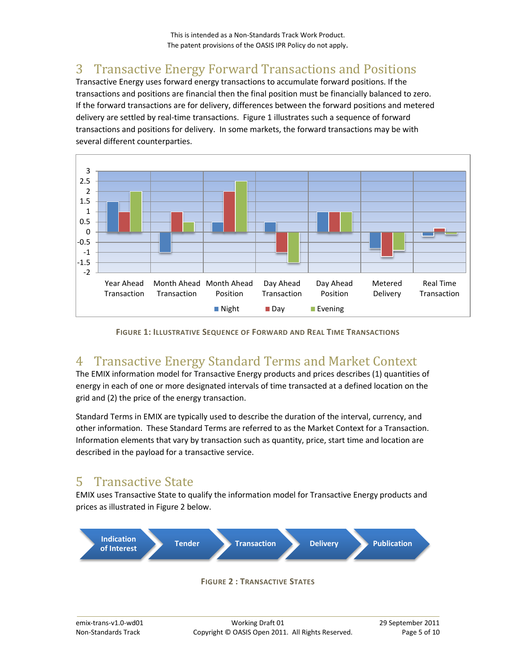## 3 Transactive Energy Forward Transactions and Positions

Transactive Energy uses forward energy transactions to accumulate forward positions. If the transactions and positions are financial then the final position must be financially balanced to zero. If the forward transactions are for delivery, differences between the forward positions and metered delivery are settled by real-time transactions. Figure 1 illustrates such a sequence of forward transactions and positions for delivery. In some markets, the forward transactions may be with several different counterparties.



**FIGURE 1: ILLUSTRATIVE SEQUENCE OF FORWARD AND REAL TIME TRANSACTIONS**

### 4 Transactive Energy Standard Terms and Market Context

The EMIX information model for Transactive Energy products and prices describes (1) quantities of energy in each of one or more designated intervals of time transacted at a defined location on the grid and (2) the price of the energy transaction.

Standard Terms in EMIX are typically used to describe the duration of the interval, currency, and other information. These Standard Terms are referred to as the Market Context for a Transaction. Information elements that vary by transaction such as quantity, price, start time and location are described in the payload for a transactive service.

### 5 Transactive State

EMIX uses Transactive State to qualify the information model for Transactive Energy products and prices as illustrated in Figure 2 below.



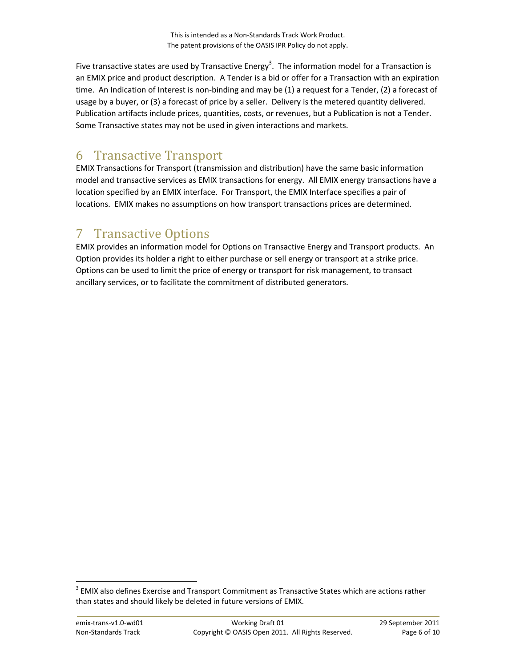Five transactive states are used by Transactive Energy<sup>3</sup>. The information model for a Transaction is an EMIX price and product description. A Tender is a bid or offer for a Transaction with an expiration time. An Indication of Interest is non-binding and may be (1) a request for a Tender, (2) a forecast of usage by a buyer, or (3) a forecast of price by a seller. Delivery is the metered quantity delivered. Publication artifacts include prices, quantities, costs, or revenues, but a Publication is not a Tender. Some Transactive states may not be used in given interactions and markets.

### 6 Transactive Transport

EMIX Transactions for Transport (transmission and distribution) have the same basic information model and transactive services as EMIX transactions for energy. All EMIX energy transactions have a location specified by an EMIX interface. For Transport, the EMIX Interface specifies a pair of locations. EMIX makes no assumptions on how transport transactions prices are determined.

### 7 Transactive Options

EMIX provides an information model for Options on Transactive Energy and Transport products. An Option provides its holder a right to either purchase or sell energy or transport at a strike price. Options can be used to limit the price of energy or transport for risk management, to transact ancillary services, or to facilitate the commitment of distributed generators.

 $\overline{a}$ 

 $3$  EMIX also defines Exercise and Transport Commitment as Transactive States which are actions rather than states and should likely be deleted in future versions of EMIX.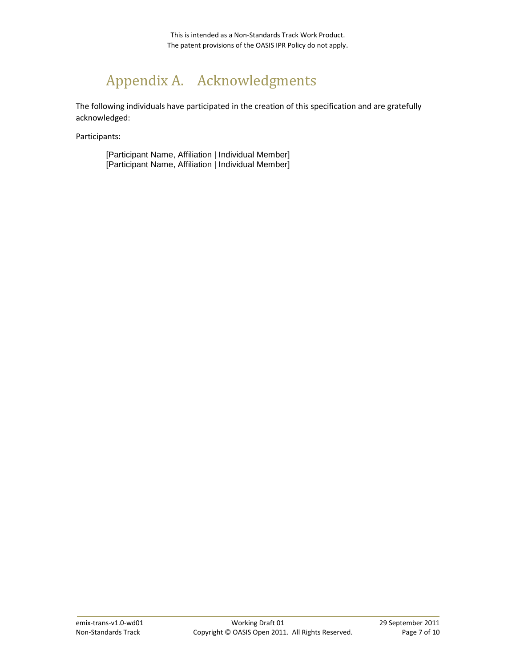## <span id="page-7-0"></span>Appendix A. Acknowledgments

The following individuals have participated in the creation of this specification and are gratefully acknowledged:

Participants:

[Participant Name, Affiliation | Individual Member] [Participant Name, Affiliation | Individual Member]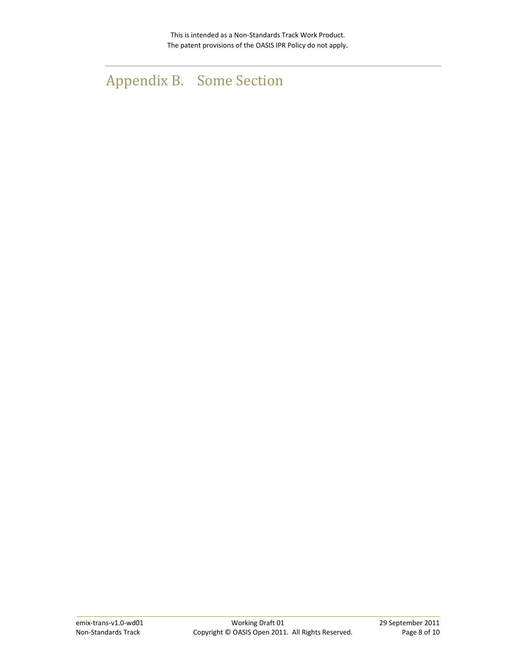## <span id="page-8-0"></span>Appendix B. Some Section